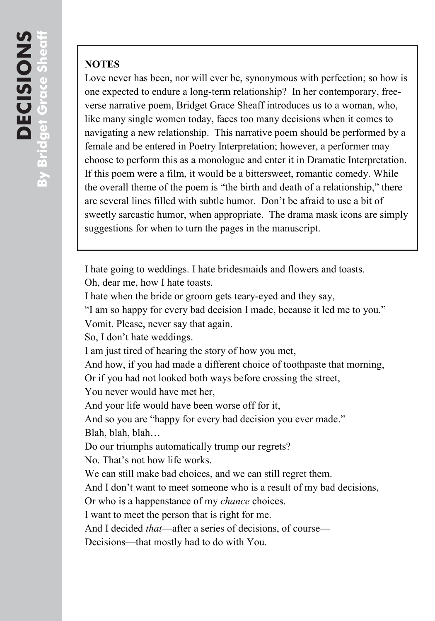## **NOTES**

Love never has been, nor will ever be, synonymous with perfection; so how is one expected to endure a long-term relationship? In her contemporary, freeverse narrative poem, Bridget Grace Sheaff introduces us to a woman, who, like many single women today, faces too many decisions when it comes to navigating a new relationship. This narrative poem should be performed by a female and be entered in Poetry Interpretation; however, a performer may choose to perform this as a monologue and enter it in Dramatic Interpretation. If this poem were a film, it would be a bittersweet, romantic comedy. While the overall theme of the poem is "the birth and death of a relationship," there are several lines filled with subtle humor. Don't be afraid to use a bit of sweetly sarcastic humor, when appropriate. The drama mask icons are simply suggestions for when to turn the pages in the manuscript.

I hate going to weddings. I hate bridesmaids and flowers and toasts.

Oh, dear me, how I hate toasts.

I hate when the bride or groom gets teary-eyed and they say,

"I am so happy for every bad decision I made, because it led me to you."

Vomit. Please, never say that again.

So, I don't hate weddings.

I am just tired of hearing the story of how you met,

And how, if you had made a different choice of toothpaste that morning,

Or if you had not looked both ways before crossing the street,

You never would have met her,

And your life would have been worse off for it,

And so you are "happy for every bad decision you ever made." Blah, blah, blah…

Do our triumphs automatically trump our regrets?

No. That's not how life works.

We can still make bad choices, and we can still regret them.

And I don't want to meet someone who is a result of my bad decisions,

Or who is a happenstance of my *chance* choices.

I want to meet the person that is right for me.

And I decided *that*—after a series of decisions, of course—

Decisions—that mostly had to do with You.